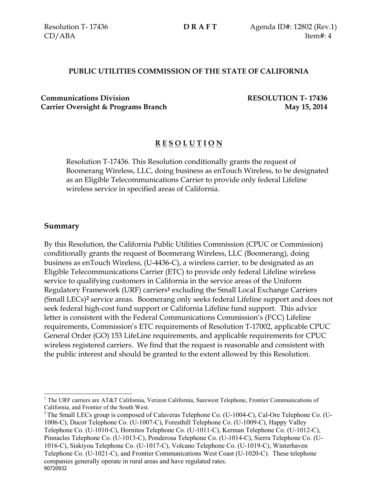### **PUBLIC UTILITIES COMMISSION OF THE STATE OF CALIFORNIA**

**Communications Division RESOLUTION T- 17436 Carrier Oversight & Programs Branch May 15, 2014** 

## **R E S O L U T I O N**

Resolution T-17436. This Resolution conditionally grants the request of Boomerang Wireless, LLC, doing business as enTouch Wireless, to be designated as an Eligible Telecommunications Carrier to provide only federal Lifeline wireless service in specified areas of California.

### **Summary**

 $\overline{a}$ 

By this Resolution, the California Public Utilities Commission (CPUC or Commission) conditionally grants the request of Boomerang Wireless, LLC (Boomerang), doing business as enTouch Wireless, (U-4436-C), a wireless carrier, to be designated as an Eligible Telecommunications Carrier (ETC) to provide only federal Lifeline wireless service to qualifying customers in California in the service areas of the Uniform Regulatory Framework (URF) carriers**<sup>1</sup>** excluding the Small Local Exchange Carriers (Small LECs)**<sup>2</sup>** service areas. Boomerang only seeks federal Lifeline support and does not seek federal high-cost fund support or California Lifeline fund support. This advice letter is consistent with the Federal Communications Commission's (FCC) Lifeline requirements, Commission's ETC requirements of Resolution T-17002, applicable CPUC General Order (GO) 153 LifeLine requirements, and applicable requirements for CPUC wireless registered carriers. We find that the request is reasonable and consistent with the public interest and should be granted to the extent allowed by this Resolution.

<sup>&</sup>lt;sup>1</sup> The URF carriers are AT&T California, Verizon California, Surewest Telephone, Frontier Communications of California, and Frontier of the South West.

<sup>90720932</sup> <sup>2</sup> The Small LECs group is composed of Calaveras Telephone Co. (U-1004-C), Cal-Ore Telephone Co. (U-1006-C), Ducor Telephone Co. (U-1007-C), Foresthill Telephone Co. (U-1009-C), Happy Valley Telephone Co. (U-1010-C), Hornitos Telephone Co. (U-1011-C), Kerman Telephone Co. (U-1012-C), Pinnacles Telephone Co. (U-1013-C), Ponderosa Telephone Co. (U-1014-C), Sierra Telephone Co. (U-1016-C), Siskiyou Telephone Co. (U-1017-C), Volcano Telephone Co. (U-1019-C), Winterhaven Telephone Co. (U-1021-C), and Frontier Communications West Coast (U-1020-C). These telephone companies generally operate in rural areas and have regulated rates.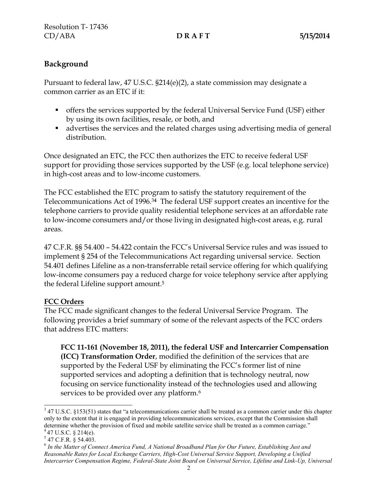# **Background**

Pursuant to federal law, 47 U.S.C. §214(e)(2), a state commission may designate a common carrier as an ETC if it:

- offers the services supported by the federal Universal Service Fund (USF) either by using its own facilities, resale, or both, and
- advertises the services and the related charges using advertising media of general distribution.

Once designated an ETC, the FCC then authorizes the ETC to receive federal USF support for providing those services supported by the USF (e.g. local telephone service) in high-cost areas and to low-income customers.

The FCC established the ETC program to satisfy the statutory requirement of the Telecommunications Act of 1996.3**<sup>4</sup>** The federal USF support creates an incentive for the telephone carriers to provide quality residential telephone services at an affordable rate to low-income consumers and/or those living in designated high-cost areas, e.g. rural areas.

47 C.F.R. §§ 54.400 – 54.422 contain the FCC's Universal Service rules and was issued to implement § 254 of the Telecommunications Act regarding universal service. Section 54.401 defines Lifeline as a non-transferrable retail service offering for which qualifying low-income consumers pay a reduced charge for voice telephony service after applying the federal Lifeline support amount.<sup>5</sup>

## **FCC Orders**

The FCC made significant changes to the federal Universal Service Program. The following provides a brief summary of some of the relevant aspects of the FCC orders that address ETC matters:

**FCC 11-161 (November 18, 2011), the federal USF and Intercarrier Compensation (ICC) Transformation Order**, modified the definition of the services that are supported by the Federal USF by eliminating the FCC's former list of nine supported services and adopting a definition that is technology neutral, now focusing on service functionality instead of the technologies used and allowing services to be provided over any platform.<sup>6</sup>

<sup>&</sup>lt;sup>3</sup> 47 U.S.C. §153(51) states that "a telecommunications carrier shall be treated as a common carrier under this chapter only to the extent that it is engaged in providing telecommunications services, except that the Commission shall determine whether the provision of fixed and mobile satellite service shall be treated as a common carriage."  $447$  U.S.C. § 214(e).

 $5$  47 C.F.R. § 54.403.

<sup>6</sup> *In the Matter of Connect America Fund, A National Broadband Plan for Our Future, Establishing Just and Reasonable Rates for Local Exchange Carriers, High-Cost Universal Service Support, Developing a Unified Intercarrier Compensation Regime, Federal-State Joint Board on Universal Service, Lifeline and Link-Up, Universal*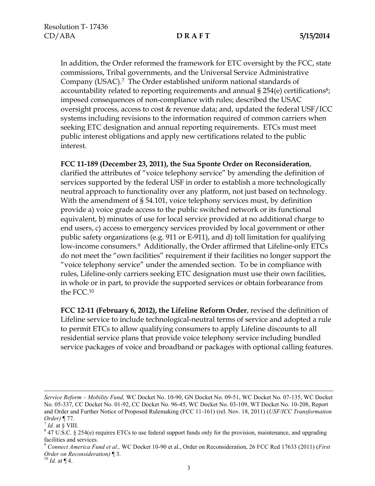In addition, the Order reformed the framework for ETC oversight by the FCC, state commissions, Tribal governments, and the Universal Service Administrative Company (USAC).7 The Order established uniform national standards of accountability related to reporting requirements and annual § 254(e) certifications 8; imposed consequences of non-compliance with rules; described the USAC oversight process, access to cost & revenue data; and, updated the federal USF/ICC systems including revisions to the information required of common carriers when seeking ETC designation and annual reporting requirements. ETCs must meet public interest obligations and apply new certifications related to the public interest.

### **FCC 11-189 (December 23, 2011), the Sua Sponte Order on Reconsideration**,

clarified the attributes of "voice telephony service" by amending the definition of services supported by the federal USF in order to establish a more technologically neutral approach to functionality over any platform, not just based on technology. With the amendment of § 54.101, voice telephony services must, by definition provide a) voice grade access to the public switched network or its functional equivalent, b) minutes of use for local service provided at no additional charge to end users, c) access to emergency services provided by local government or other public safety organizations (e.g. 911 or E-911), and d) toll limitation for qualifying low-income consumers.<sup>9</sup> Additionally, the Order affirmed that Lifeline-only ETCs do not meet the "own facilities" requirement if their facilities no longer support the "voice telephony service" under the amended section. To be in compliance with rules, Lifeline-only carriers seeking ETC designation must use their own facilities, in whole or in part, to provide the supported services or obtain forbearance from the FCC.<sup>10</sup>

**FCC 12-11 (February 6, 2012), the Lifeline Reform Order**, revised the definition of Lifeline service to include technological-neutral terms of service and adopted a rule to permit ETCs to allow qualifying consumers to apply Lifeline discounts to all residential service plans that provide voice telephony service including bundled service packages of voice and broadband or packages with optional calling features.

 $\overline{a}$ 

*Service Reform – Mobility Fund,* WC Docket No. 10-90, GN Docket No. 09-51, WC Docket No. 07-135, WC Docket No. 05-337, CC Docket No. 01-92, CC Docket No. 96-45, WC Docket No. 03-109, WT Docket No. 10-208, Report and Order and Further Notice of Proposed Rulemaking (FCC 11-161) (rel. Nov. 18, 2011) (*USF/ICC Transformation Order)* ¶ 77.

 $<sup>7</sup>$  *Id.* at § VIII.</sup>

 $8$  47 U.S.C. § 254(e) requires ETCs to use federal support funds only for the provision, maintenance, and upgrading facilities and services.

<sup>9</sup> *Connect America Fund et al.,* WC Docket 10-90 et al., Order on Reconsideration, 26 FCC Rcd 17633 (2011) (*First Order on Reconsideration)* ¶ 3.

 $^{10}$  *Id.* at ¶ 4.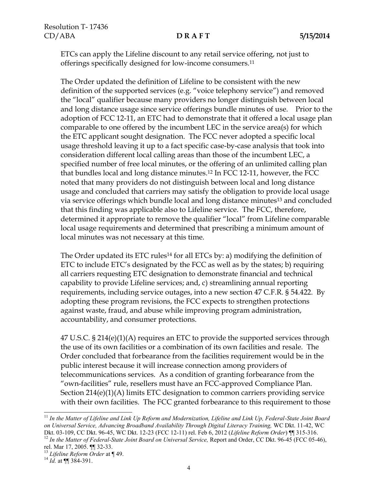ETCs can apply the Lifeline discount to any retail service offering, not just to offerings specifically designed for low-income consumers.<sup>11</sup>

The Order updated the definition of Lifeline to be consistent with the new definition of the supported services (e.g. "voice telephony service") and removed the "local" qualifier because many providers no longer distinguish between local and long distance usage since service offerings bundle minutes of use. Prior to the adoption of FCC 12-11, an ETC had to demonstrate that it offered a local usage plan comparable to one offered by the incumbent LEC in the service area(s) for which the ETC applicant sought designation. The FCC never adopted a specific local usage threshold leaving it up to a fact specific case-by-case analysis that took into consideration different local calling areas than those of the incumbent LEC, a specified number of free local minutes, or the offering of an unlimited calling plan that bundles local and long distance minutes.<sup>12</sup> In FCC 12-11, however, the FCC noted that many providers do not distinguish between local and long distance usage and concluded that carriers may satisfy the obligation to provide local usage via service offerings which bundle local and long distance minutes<sup>13</sup> and concluded that this finding was applicable also to Lifeline service. The FCC, therefore, determined it appropriate to remove the qualifier "local" from Lifeline comparable local usage requirements and determined that prescribing a minimum amount of local minutes was not necessary at this time.

The Order updated its ETC rules<sup>14</sup> for all ETCs by: a) modifying the definition of ETC to include ETC's designated by the FCC as well as by the states; b) requiring all carriers requesting ETC designation to demonstrate financial and technical capability to provide Lifeline services; and, c) streamlining annual reporting requirements, including service outages, into a new section 47 C.F.R. § 54.422. By adopting these program revisions, the FCC expects to strengthen protections against waste, fraud, and abuse while improving program administration, accountability, and consumer protections.

47 U.S.C. § 214(e)(1)(A) requires an ETC to provide the supported services through the use of its own facilities or a combination of its own facilities and resale. The Order concluded that forbearance from the facilities requirement would be in the public interest because it will increase connection among providers of telecommunications services. As a condition of granting forbearance from the "own-facilities" rule, resellers must have an FCC-approved Compliance Plan. Section 214(e)(1)(A) limits ETC designation to common carriers providing service with their own facilities. The FCC granted forbearance to this requirement to those

 $\overline{a}$ 

<sup>&</sup>lt;sup>11</sup> In the Matter of Lifeline and Link Up Reform and Modernization, Lifeline and Link Up, Federal-State Joint Board *on Universal Service, Advancing Broadband Availability Through Digital Literacy Training,* WC Dkt. 11-42, WC Dkt. 03-109, CC Dkt. 96-45, WC Dkt. 12-23 (FCC 12-11) rel. Feb 6, 2012 (*Lifeline Reform Order*) ¶¶ 315-316.

<sup>&</sup>lt;sup>12</sup> In the Matter of Federal-State Joint Board on Universal Service, Report and Order, CC Dkt. 96-45 (FCC 05-46), rel. Mar 17, 2005. ¶¶ 32-33.

<sup>13</sup> *Lifeline Reform Order* at ¶ 49.

<sup>&</sup>lt;sup>14</sup> *Id.* at  $\P\P$  384-391.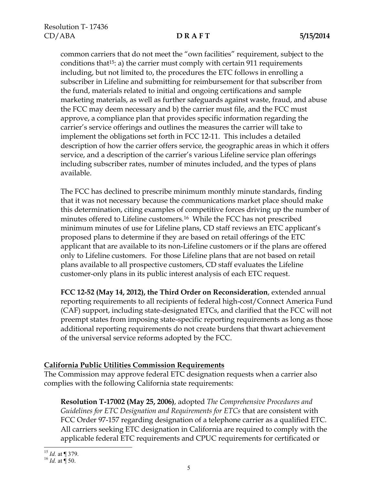common carriers that do not meet the "own facilities" requirement, subject to the conditions that<sup>15</sup>: a) the carrier must comply with certain 911 requirements including, but not limited to, the procedures the ETC follows in enrolling a subscriber in Lifeline and submitting for reimbursement for that subscriber from the fund, materials related to initial and ongoing certifications and sample marketing materials, as well as further safeguards against waste, fraud, and abuse the FCC may deem necessary and b) the carrier must file, and the FCC must approve, a compliance plan that provides specific information regarding the carrier's service offerings and outlines the measures the carrier will take to implement the obligations set forth in FCC 12-11. This includes a detailed description of how the carrier offers service, the geographic areas in which it offers service, and a description of the carrier's various Lifeline service plan offerings including subscriber rates, number of minutes included, and the types of plans available.

The FCC has declined to prescribe minimum monthly minute standards, finding that it was not necessary because the communications market place should make this determination, citing examples of competitive forces driving up the number of minutes offered to Lifeline customers.16 While the FCC has not prescribed minimum minutes of use for Lifeline plans, CD staff reviews an ETC applicant's proposed plans to determine if they are based on retail offerings of the ETC applicant that are available to its non-Lifeline customers or if the plans are offered only to Lifeline customers. For those Lifeline plans that are not based on retail plans available to all prospective customers, CD staff evaluates the Lifeline customer-only plans in its public interest analysis of each ETC request.

**FCC 12-52 (May 14, 2012), the Third Order on Reconsideration**, extended annual reporting requirements to all recipients of federal high-cost/Connect America Fund (CAF) support, including state-designated ETCs, and clarified that the FCC will not preempt states from imposing state-specific reporting requirements as long as those additional reporting requirements do not create burdens that thwart achievement of the universal service reforms adopted by the FCC.

## **California Public Utilities Commission Requirements**

The Commission may approve federal ETC designation requests when a carrier also complies with the following California state requirements:

**Resolution T-17002 (May 25, 2006)**, adopted *The Comprehensive Procedures and Guidelines for ETC Designation and Requirements for ETCs* that are consistent with FCC Order 97-157 regarding designation of a telephone carrier as a qualified ETC. All carriers seeking ETC designation in California are required to comply with the applicable federal ETC requirements and CPUC requirements for certificated or

 $\overline{a}$ <sup>15</sup> *Id.* at ¶ 379.

 $^{16}$  *Id.* at  $\sqrt{}$  50.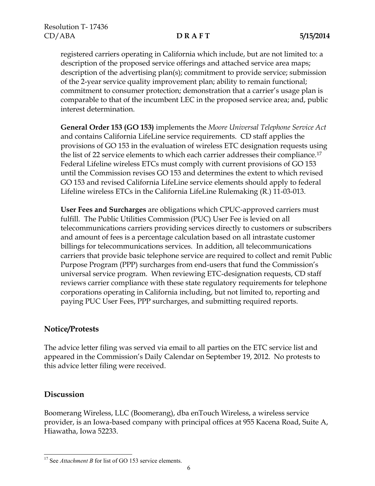registered carriers operating in California which include, but are not limited to: a description of the proposed service offerings and attached service area maps; description of the advertising plan(s); commitment to provide service; submission of the 2-year service quality improvement plan; ability to remain functional; commitment to consumer protection; demonstration that a carrier's usage plan is comparable to that of the incumbent LEC in the proposed service area; and, public interest determination.

**General Order 153 (GO 153)** implements the *Moore Universal Telephone Service Act* and contains California LifeLine service requirements. CD staff applies the provisions of GO 153 in the evaluation of wireless ETC designation requests using the list of 22 service elements to which each carrier addresses their compliance.<sup>17</sup> Federal Lifeline wireless ETCs must comply with current provisions of GO 153 until the Commission revises GO 153 and determines the extent to which revised GO 153 and revised California LifeLine service elements should apply to federal Lifeline wireless ETCs in the California LifeLine Rulemaking (R.) 11-03-013.

**User Fees and Surcharges** are obligations which CPUC-approved carriers must fulfill. The Public Utilities Commission (PUC) User Fee is levied on all telecommunications carriers providing services directly to customers or subscribers and amount of fees is a percentage calculation based on all intrastate customer billings for telecommunications services. In addition, all telecommunications carriers that provide basic telephone service are required to collect and remit Public Purpose Program (PPP) surcharges from end-users that fund the Commission's universal service program. When reviewing ETC-designation requests, CD staff reviews carrier compliance with these state regulatory requirements for telephone corporations operating in California including, but not limited to, reporting and paying PUC User Fees, PPP surcharges, and submitting required reports.

## **Notice/Protests**

The advice letter filing was served via email to all parties on the ETC service list and appeared in the Commission's Daily Calendar on September 19, 2012. No protests to this advice letter filing were received.

# **Discussion**

 $\overline{\phantom{a}}$ 

Boomerang Wireless, LLC (Boomerang), dba enTouch Wireless, a wireless service provider, is an Iowa-based company with principal offices at 955 Kacena Road, Suite A, Hiawatha, Iowa 52233.

<sup>&</sup>lt;sup>17</sup> See *Attachment B* for list of GO 153 service elements.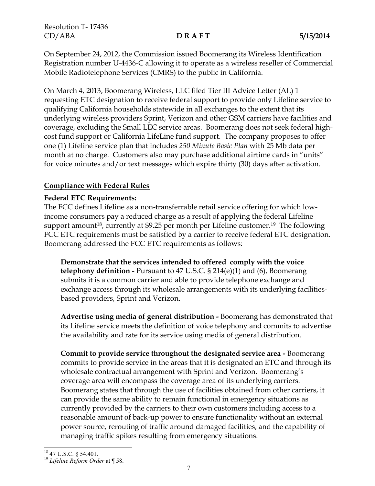On September 24, 2012, the Commission issued Boomerang its Wireless Identification Registration number U-4436-C allowing it to operate as a wireless reseller of Commercial Mobile Radiotelephone Services (CMRS) to the public in California.

On March 4, 2013, Boomerang Wireless, LLC filed Tier III Advice Letter (AL) 1 requesting ETC designation to receive federal support to provide only Lifeline service to qualifying California households statewide in all exchanges to the extent that its underlying wireless providers Sprint, Verizon and other GSM carriers have facilities and coverage, excluding the Small LEC service areas. Boomerang does not seek federal highcost fund support or California LifeLine fund support. The company proposes to offer one (1) Lifeline service plan that includes *250 Minute Basic Plan* with 25 Mb data per month at no charge. Customers also may purchase additional airtime cards in "units" for voice minutes and/or text messages which expire thirty (30) days after activation.

## **Compliance with Federal Rules**

## **Federal ETC Requirements:**

The FCC defines Lifeline as a non-transferrable retail service offering for which lowincome consumers pay a reduced charge as a result of applying the federal Lifeline support amount<sup>18</sup>, currently at \$9.25 per month per Lifeline customer.<sup>19</sup> The following FCC ETC requirements must be satisfied by a carrier to receive federal ETC designation. Boomerang addressed the FCC ETC requirements as follows:

**Demonstrate that the services intended to offered comply with the voice telephony definition -** Pursuant to 47 U.S.C. § 214(e)(1) and (6), Boomerang submits it is a common carrier and able to provide telephone exchange and exchange access through its wholesale arrangements with its underlying facilitiesbased providers, Sprint and Verizon.

**Advertise using media of general distribution -** Boomerang has demonstrated that its Lifeline service meets the definition of voice telephony and commits to advertise the availability and rate for its service using media of general distribution.

**Commit to provide service throughout the designated service area -** Boomerang commits to provide service in the areas that it is designated an ETC and through its wholesale contractual arrangement with Sprint and Verizon. Boomerang's coverage area will encompass the coverage area of its underlying carriers. Boomerang states that through the use of facilities obtained from other carriers, it can provide the same ability to remain functional in emergency situations as currently provided by the carriers to their own customers including access to a reasonable amount of back-up power to ensure functionality without an external power source, rerouting of traffic around damaged facilities, and the capability of managing traffic spikes resulting from emergency situations.

<sup>19</sup> *Lifeline Reform Order* at ¶ 58.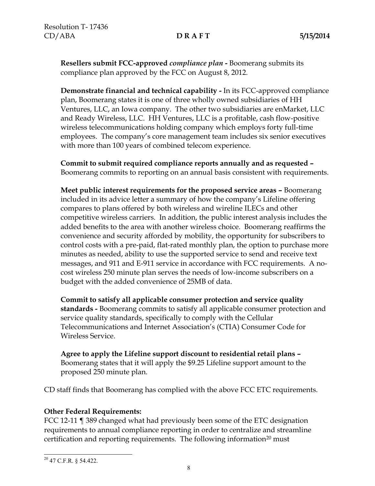**Resellers submit FCC-approved** *compliance plan* **-** Boomerang submits its compliance plan approved by the FCC on August 8, 2012.

**Demonstrate financial and technical capability -** In its FCC-approved compliance plan, Boomerang states it is one of three wholly owned subsidiaries of HH Ventures, LLC, an Iowa company. The other two subsidiaries are enMarket, LLC and Ready Wireless, LLC. HH Ventures, LLC is a profitable, cash flow-positive wireless telecommunications holding company which employs forty full-time employees. The company's core management team includes six senior executives with more than 100 years of combined telecom experience.

**Commit to submit required compliance reports annually and as requested –** Boomerang commits to reporting on an annual basis consistent with requirements.

**Meet public interest requirements for the proposed service areas –** Boomerang included in its advice letter a summary of how the company's Lifeline offering compares to plans offered by both wireless and wireline ILECs and other competitive wireless carriers. In addition, the public interest analysis includes the added benefits to the area with another wireless choice. Boomerang reaffirms the convenience and security afforded by mobility, the opportunity for subscribers to control costs with a pre-paid, flat-rated monthly plan, the option to purchase more minutes as needed, ability to use the supported service to send and receive text messages, and 911 and E-911 service in accordance with FCC requirements. A nocost wireless 250 minute plan serves the needs of low-income subscribers on a budget with the added convenience of 25MB of data.

**Commit to satisfy all applicable consumer protection and service quality standards -** Boomerang commits to satisfy all applicable consumer protection and service quality standards, specifically to comply with the Cellular Telecommunications and Internet Association's (CTIA) Consumer Code for Wireless Service.

**Agree to apply the Lifeline support discount to residential retail plans –** Boomerang states that it will apply the \$9.25 Lifeline support amount to the proposed 250 minute plan.

CD staff finds that Boomerang has complied with the above FCC ETC requirements.

## **Other Federal Requirements:**

FCC 12-11 ¶ 389 changed what had previously been some of the ETC designation requirements to annual compliance reporting in order to centralize and streamline certification and reporting requirements. The following information<sup>20</sup> must

 $\overline{\phantom{a}}$ <sup>20</sup> 47 C.F.R. § 54.422.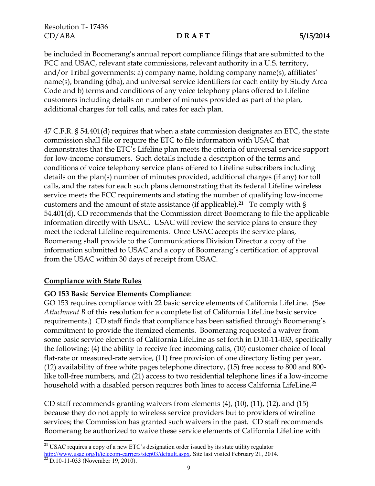be included in Boomerang's annual report compliance filings that are submitted to the FCC and USAC, relevant state commissions, relevant authority in a U.S. territory, and/or Tribal governments: a) company name, holding company name(s), affiliates' name(s), branding (dba), and universal service identifiers for each entity by Study Area Code and b) terms and conditions of any voice telephony plans offered to Lifeline customers including details on number of minutes provided as part of the plan, additional charges for toll calls, and rates for each plan.

47 C.F.R. § 54.401(d) requires that when a state commission designates an ETC, the state commission shall file or require the ETC to file information with USAC that demonstrates that the ETC's Lifeline plan meets the criteria of universal service support for low-income consumers. Such details include a description of the terms and conditions of voice telephony service plans offered to Lifeline subscribers including details on the plan(s) number of minutes provided, additional charges (if any) for toll calls, and the rates for each such plans demonstrating that its federal Lifeline wireless service meets the FCC requirements and stating the number of qualifying low-income customers and the amount of state assistance (if applicable). **<sup>21</sup>** To comply with § 54.401(d), CD recommends that the Commission direct Boomerang to file the applicable information directly with USAC. USAC will review the service plans to ensure they meet the federal Lifeline requirements. Once USAC accepts the service plans, Boomerang shall provide to the Communications Division Director a copy of the information submitted to USAC and a copy of Boomerang's certification of approval from the USAC within 30 days of receipt from USAC.

## **Compliance with State Rules**

l

## **GO 153 Basic Service Elements Compliance**:

GO 153 requires compliance with 22 basic service elements of California LifeLine. (See *Attachment B* of this resolution for a complete list of California LifeLine basic service requirements.) CD staff finds that compliance has been satisfied through Boomerang's commitment to provide the itemized elements. Boomerang requested a waiver from some basic service elements of California LifeLine as set forth in D.10-11-033, specifically the following: (4) the ability to receive free incoming calls, (10) customer choice of local flat-rate or measured-rate service, (11) free provision of one directory listing per year, (12) availability of free white pages telephone directory, (15) free access to 800 and 800 like toll-free numbers, and (21) access to two residential telephone lines if a low-income household with a disabled person requires both lines to access California LifeLine. 22

CD staff recommends granting waivers from elements (4), (10), (11), (12), and (15) because they do not apply to wireless service providers but to providers of wireline services; the Commission has granted such waivers in the past. CD staff recommends Boomerang be authorized to waive these service elements of California LifeLine with

**<sup>21</sup>** USAC requires a copy of a new ETC's designation order issued by its state utility regulator [http://www.usac.org/li/telecom-carriers/step03/default.aspx.](http://www.usac.org/li/telecom-carriers/step03/default.aspx) Site last visited February 21, 2014.  $22$  D.10-11-033 (November 19, 2010).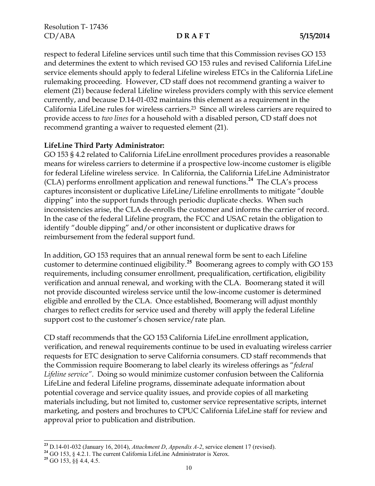respect to federal Lifeline services until such time that this Commission revises GO 153 and determines the extent to which revised GO 153 rules and revised California LifeLine service elements should apply to federal Lifeline wireless ETCs in the California LifeLine rulemaking proceeding. However, CD staff does not recommend granting a waiver to element (21) because federal Lifeline wireless providers comply with this service element currently, and because D.14-01-032 maintains this element as a requirement in the California LifeLine rules for wireless carriers.23 Since all wireless carriers are required to provide access to *two lines* for a household with a disabled person, CD staff does not recommend granting a waiver to requested element (21).

## **LifeLine Third Party Administrator:**

GO 153 § 4.2 related to California LifeLine enrollment procedures provides a reasonable means for wireless carriers to determine if a prospective low-income customer is eligible for federal Lifeline wireless service. In California, the California LifeLine Administrator (CLA) performs enrollment application and renewal functions. **24** The CLA's process captures inconsistent or duplicative LifeLine/Lifeline enrollments to mitigate "double dipping" into the support funds through periodic duplicate checks. When such inconsistencies arise, the CLA de-enrolls the customer and informs the carrier of record. In the case of the federal Lifeline program, the FCC and USAC retain the obligation to identify "double dipping" and/or other inconsistent or duplicative draws for reimbursement from the federal support fund.

In addition, GO 153 requires that an annual renewal form be sent to each Lifeline customer to determine continued eligibility.**<sup>25</sup>** Boomerang agrees to comply with GO 153 requirements, including consumer enrollment, prequalification, certification, eligibility verification and annual renewal, and working with the CLA. Boomerang stated it will not provide discounted wireless service until the low-income customer is determined eligible and enrolled by the CLA. Once established, Boomerang will adjust monthly charges to reflect credits for service used and thereby will apply the federal Lifeline support cost to the customer's chosen service/rate plan.

CD staff recommends that the GO 153 California LifeLine enrollment application, verification, and renewal requirements continue to be used in evaluating wireless carrier requests for ETC designation to serve California consumers. CD staff recommends that the Commission require Boomerang to label clearly its wireless offerings as "*federal Lifeline service"*. Doing so would minimize customer confusion between the California LifeLine and federal Lifeline programs, disseminate adequate information about potential coverage and service quality issues, and provide copies of all marketing materials including, but not limited to, customer service representative scripts, internet marketing, and posters and brochures to CPUC California LifeLine staff for review and approval prior to publication and distribution.

l

**<sup>23</sup>** D.14-01-032 (January 16, 2014), *Attachment D*, *Appendix A-2*, service element 17 (revised).

**<sup>24</sup>** GO 153, § 4.2.1. The current California LifeLine Administrator is Xerox.

**<sup>25</sup>** GO 153, §§ 4.4, 4.5.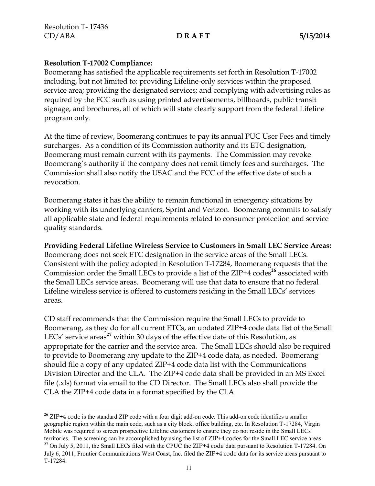$\overline{\phantom{a}}$ 

### **Resolution T-17002 Compliance:**

Boomerang has satisfied the applicable requirements set forth in Resolution T-17002 including, but not limited to: providing Lifeline-only services within the proposed service area; providing the designated services; and complying with advertising rules as required by the FCC such as using printed advertisements, billboards, public transit signage, and brochures, all of which will state clearly support from the federal Lifeline program only.

At the time of review, Boomerang continues to pay its annual PUC User Fees and timely surcharges. As a condition of its Commission authority and its ETC designation, Boomerang must remain current with its payments. The Commission may revoke Boomerang's authority if the company does not remit timely fees and surcharges. The Commission shall also notify the USAC and the FCC of the effective date of such a revocation.

Boomerang states it has the ability to remain functional in emergency situations by working with its underlying carriers, Sprint and Verizon. Boomerang commits to satisfy all applicable state and federal requirements related to consumer protection and service quality standards.

**Providing Federal Lifeline Wireless Service to Customers in Small LEC Service Areas:** Boomerang does not seek ETC designation in the service areas of the Small LECs. Consistent with the policy adopted in Resolution T-17284, Boomerang requests that the Commission order the Small LECs to provide a list of the ZIP+4 codes<sup>26</sup> associated with the Small LECs service areas. Boomerang will use that data to ensure that no federal Lifeline wireless service is offered to customers residing in the Small LECs' services areas.

CD staff recommends that the Commission require the Small LECs to provide to Boomerang, as they do for all current ETCs, an updated ZIP+4 code data list of the Small LECs' service areas<sup>27</sup> within 30 days of the effective date of this Resolution, as appropriate for the carrier and the service area. The Small LECs should also be required to provide to Boomerang any update to the ZIP+4 code data, as needed. Boomerang should file a copy of any updated ZIP+4 code data list with the Communications Division Director and the CLA. The ZIP+4 code data shall be provided in an MS Excel file (.xls) format via email to the CD Director. The Small LECs also shall provide the CLA the ZIP+4 code data in a format specified by the CLA.

**<sup>26</sup>** ZIP+4 code is the standard ZIP code with a four digit add-on code. This add-on code identifies a smaller geographic region within the main code, such as a city block, office building, etc. In Resolution T-17284, Virgin Mobile was required to screen prospective Lifeline customers to ensure they do not reside in the Small LECs' territories. The screening can be accomplished by using the list of ZIP+4 codes for the Small LEC service areas. **<sup>27</sup>** On July 5, 2011, the Small LECs filed with the CPUC the ZIP+4 code data pursuant to Resolution T-17284. On July 6, 2011, Frontier Communications West Coast, Inc. filed the ZIP+4 code data for its service areas pursuant to T-17284.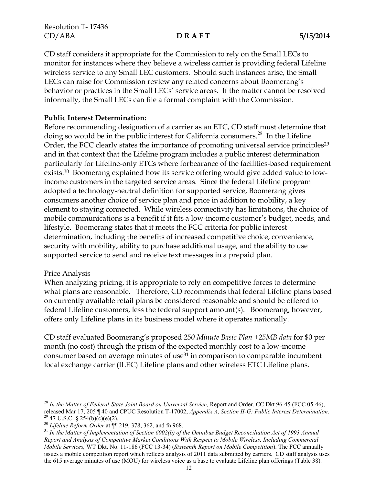CD staff considers it appropriate for the Commission to rely on the Small LECs to monitor for instances where they believe a wireless carrier is providing federal Lifeline wireless service to any Small LEC customers. Should such instances arise, the Small LECs can raise for Commission review any related concerns about Boomerang's behavior or practices in the Small LECs' service areas. If the matter cannot be resolved informally, the Small LECs can file a formal complaint with the Commission.

### **Public Interest Determination:**

Before recommending designation of a carrier as an ETC, CD staff must determine that doing so would be in the public interest for California consumers.<sup>28</sup> In the Lifeline Order, the FCC clearly states the importance of promoting universal service principles<sup>29</sup> and in that context that the Lifeline program includes a public interest determination particularly for Lifeline-only ETCs where forbearance of the facilities-based requirement exists.30 Boomerang explained how its service offering would give added value to lowincome customers in the targeted service areas. Since the federal Lifeline program adopted a technology-neutral definition for supported service, Boomerang gives consumers another choice of service plan and price in addition to mobility, a key element to staying connected. While wireless connectivity has limitations, the choice of mobile communications is a benefit if it fits a low-income customer's budget, needs, and lifestyle. Boomerang states that it meets the FCC criteria for public interest determination, including the benefits of increased competitive choice, convenience, security with mobility, ability to purchase additional usage, and the ability to use supported service to send and receive text messages in a prepaid plan.

### Price Analysis

l

When analyzing pricing, it is appropriate to rely on competitive forces to determine what plans are reasonable. Therefore, CD recommends that federal Lifeline plans based on currently available retail plans be considered reasonable and should be offered to federal Lifeline customers, less the federal support amount(s). Boomerang, however, offers only Lifeline plans in its business model where it operates nationally.

CD staff evaluated Boomerang's proposed *250 Minute Basic Plan +25MB data* for \$0 per month (no cost) through the prism of the expected monthly cost to a low-income consumer based on average minutes of use<sup>31</sup> in comparison to comparable incumbent local exchange carrier (ILEC) Lifeline plans and other wireless ETC Lifeline plans.

<sup>28</sup> *In the Matter of Federal-State Joint Board on Universal Service,* Report and Order, CC Dkt 96-45 (FCC 05-46), released Mar 17, 205 ¶ 40 and CPUC Resolution T-17002, *Appendix A, Section II-G: Public Interest Determination.* <sup>29</sup> 47 U.S.C. § 254(b)(c)(e)(2).

<sup>30</sup> *Lifeline Reform Order* at ¶¶ 219, 378, 362, and fn 968.

<sup>31</sup> *In the Matter of Implementation of Section 6002(b) of the Omnibus Budget Reconciliation Act of 1993 Annual Report and Analysis of Competitive Market Conditions With Respect to Mobile Wireless, Including Commercial Mobile Services,* WT Dkt. No. 11-186 (FCC 13-34) (*Sixteenth Report on Mobile Competition*). The FCC annually issues a mobile competition report which reflects analysis of 2011 data submitted by carriers. CD staff analysis uses the 615 average minutes of use (MOU) for wireless voice as a base to evaluate Lifeline plan offerings (Table 38).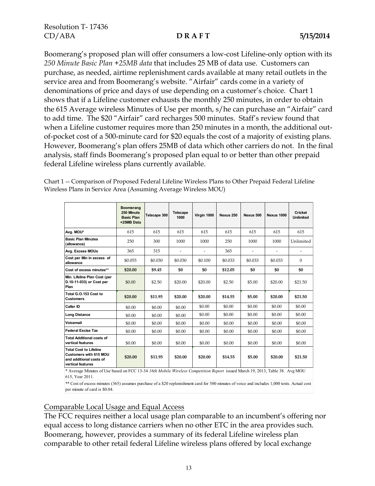Boomerang's proposed plan will offer consumers a low-cost Lifeline-only option with its *250 Minute Basic Plan +25MB data* that includes 25 MB of data use. Customers can purchase, as needed, airtime replenishment cards available at many retail outlets in the service area and from Boomerang's website. "Airfair" cards come in a variety of denominations of price and days of use depending on a customer's choice. Chart 1 shows that if a Lifeline customer exhausts the monthly 250 minutes, in order to obtain the 615 Average wireless Minutes of Use per month, s/he can purchase an "Airfair" card to add time. The \$20 "Airfair" card recharges 500 minutes. Staff's review found that when a Lifeline customer requires more than 250 minutes in a month, the additional outof-pocket cost of a 500-minute card for \$20 equals the cost of a majority of existing plans. However, Boomerang's plan offers 25MB of data which other carriers do not. In the final analysis, staff finds Boomerang's proposed plan equal to or better than other prepaid federal Lifeline wireless plans currently available.

Chart 1 -- Comparison of Proposed Federal Lifeline Wireless Plans to Other Prepaid Federal Lifeline Wireless Plans in Service Area (Assuming Average Wireless MOU)

|                                                                                                                              | <b>Boomerang</b><br>250 Minute<br><b>Basic Plan</b><br>+25MB Data | Telscape 300 | <b>Telscape</b><br>1000 | Virgin 1000 | Nexus 250 | Nexus 500 | <b>Nexus 1000</b> | <b>Cricket</b><br><b>Unlimited</b> |  |  |
|------------------------------------------------------------------------------------------------------------------------------|-------------------------------------------------------------------|--------------|-------------------------|-------------|-----------|-----------|-------------------|------------------------------------|--|--|
| Avg. MOU*                                                                                                                    | 615                                                               | 615          | 615                     | 615         | 615       | 615       | 615               | 615                                |  |  |
| <b>Basic Plan Minutes</b><br>(allowance)                                                                                     | 250                                                               | 300          | 1000                    | 1000        | 250       | 1000      | 1000              | Unlimited                          |  |  |
| Avg. Excess MOUs                                                                                                             | 365                                                               | 315          |                         |             | 365       |           |                   |                                    |  |  |
| Cost per Min in excess of<br>allowance                                                                                       | \$0.055                                                           | \$0.030      | \$0.030                 | \$0.100     | \$0.033   | \$0.033   | \$0.033           | $\Omega$                           |  |  |
| Cost of excess minutes**                                                                                                     | \$20.00                                                           | \$9.45       | \$0                     | \$0         | \$12.05   | \$0       | \$0               | \$0                                |  |  |
| Min. Lifeline Plan Cost (per<br>D.10-11-033) or Cost per<br>Plan                                                             | \$0.00                                                            | \$2.50       | \$20.00                 | \$20.00     | \$2.50    | \$5.00    | \$20.00           | \$21.50                            |  |  |
| Total G.O.153 Cost to<br><b>Customers</b>                                                                                    | \$20.00                                                           | \$11.95      | \$20.00                 | \$20.00     | \$14.55   | \$5.00    | \$20.00           | \$21.50                            |  |  |
| Caller ID                                                                                                                    | \$0.00                                                            | \$0.00       | \$0.00                  | \$0.00      | \$0.00    | \$0.00    | \$0.00            | \$0.00                             |  |  |
| <b>Long Distance</b>                                                                                                         | \$0.00                                                            | \$0.00       | \$0.00                  | \$0.00      | \$0.00    | \$0.00    | \$0.00            | \$0.00                             |  |  |
| Voicemail                                                                                                                    | \$0.00                                                            | \$0.00       | \$0.00                  | \$0.00      | \$0.00    | \$0.00    | \$0.00            | \$0.00                             |  |  |
| <b>Federal Excise Tax</b>                                                                                                    | \$0.00                                                            | \$0.00       | \$0.00                  | \$0.00      | \$0.00    | \$0.00    | \$0.00            | \$0.00                             |  |  |
| <b>Total Additional costs of</b><br>vertical features                                                                        | \$0.00                                                            | \$0.00       | \$0.00                  | \$0.00      | \$0.00    | \$0.00    | \$0.00            | \$0.00                             |  |  |
| <b>Total Cost to Lifeline</b><br>Customers with 615 MOU<br>and additional costs of<br>vertical features                      | \$20.00                                                           | \$11.95      | \$20.00                 | \$20.00     | \$14.55   | \$5.00    | \$20.00           | \$21.50                            |  |  |
| * Average Minutes of Use based on FCC 13-34 16th Mobile Wireless Competition Report issued March 19, 2013, Table 38. Avg MOU |                                                                   |              |                         |             |           |           |                   |                                    |  |  |

615, Year 2011.

\*\* Cost of excess minutes (365) assumes purchase of a \$20 replenishment card for 500 minutes of voice and includes 1,000 texts. Actual cost per minute of card is \$0.04.

### Comparable Local Usage and Equal Access

The FCC requires neither a local usage plan comparable to an incumbent's offering nor equal access to long distance carriers when no other ETC in the area provides such. Boomerang, however, provides a summary of its federal Lifeline wireless plan comparable to other retail federal Lifeline wireless plans offered by local exchange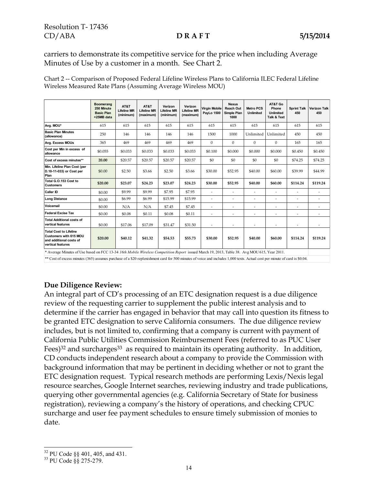carriers to demonstrate its competitive service for the price when including Average Minutes of Use by a customer in a month. See Chart 2.

|                                                                                                         | Boomerang<br>250 Minute<br><b>Basic Plan</b><br>+25MB data | AT&T<br><b>Lifeline MR</b><br>(minimum) | AT&T<br><b>Lifeline MR</b><br>(maximum) | Verizon<br><b>Lifeline MR</b><br>(minimum) | Verizon<br><b>Lifeline MR</b><br>(maximum) | <b>Virgin Mobile</b><br>PayLo 1500 | <b>Nexus</b><br>Reach Out<br>Simple Plan<br>1000 | <b>Metro PCS</b><br><b>Unlimited</b> | AT&T Go<br>Phone<br>Unlimited<br>Talk & Text | <b>Sprint Talk</b><br>450 | <b>Verizon Talk</b><br>450 |
|---------------------------------------------------------------------------------------------------------|------------------------------------------------------------|-----------------------------------------|-----------------------------------------|--------------------------------------------|--------------------------------------------|------------------------------------|--------------------------------------------------|--------------------------------------|----------------------------------------------|---------------------------|----------------------------|
| Avg. MOU*                                                                                               | 615                                                        | 615                                     | 615                                     | 615                                        | 615                                        | 615                                | 615                                              | 615                                  | 615                                          | 615                       | 615                        |
| <b>Basic Plan Minutes</b><br>(allowance)                                                                | 250                                                        | 146                                     | 146                                     | 146                                        | 146                                        | 1500                               | 1000                                             | Unlimited                            | Unlimited                                    | 450                       | 450                        |
| Avg. Excess MOUs                                                                                        | 365                                                        | 469                                     | 469                                     | 469                                        | 469                                        | $\Omega$                           | $\Omega$                                         | $\mathbf{0}$                         | $\mathbf{0}$                                 | 165                       | 165                        |
| Cost per Min in excess of<br>allowance                                                                  | \$0.055                                                    | \$0.033                                 | \$0.033                                 | \$0.033                                    | \$0.033                                    | \$0.100                            | \$0.000                                          | \$0.000                              | \$0.000                                      | \$0.450                   | \$0.450                    |
| Cost of excess minutes**                                                                                | 20.00                                                      | \$20.57                                 | \$20.57                                 | \$20.57                                    | \$20.57                                    | \$0                                | \$0                                              | \$0                                  | \$0                                          | \$74.25                   | \$74.25                    |
| Min. Lifeline Plan Cost (per<br>D.10-11-033) or Cost per<br>Plan                                        | \$0.00                                                     | \$2.50                                  | \$3.66                                  | \$2.50                                     | \$3.66                                     | \$30.00                            | \$52.95                                          | \$40.00                              | \$60.00                                      | \$39.99                   | \$44.99                    |
| Total G.O.153 Cost to<br><b>Customers</b>                                                               | \$20.00                                                    | \$23.07                                 | \$24.23                                 | \$23.07                                    | \$24.23                                    | \$30.00                            | \$52.95                                          | \$40.00                              | \$60.00                                      | \$114.24                  | \$119.24                   |
| Caller ID                                                                                               | \$0.00                                                     | \$9.99                                  | \$9.99                                  | \$7.95                                     | \$7.95                                     | ٠                                  | ä,                                               | $\overline{\phantom{a}}$             | ٠                                            | $\overline{\phantom{a}}$  |                            |
| <b>Long Distance</b>                                                                                    | \$0.00                                                     | \$6.99                                  | \$6.99                                  | \$15.99                                    | \$15.99                                    | ٠                                  | i.                                               | $\overline{\phantom{a}}$             | ٠                                            | ٠                         | ä,                         |
| Voicemail                                                                                               | \$0.00                                                     | N/A                                     | N/A                                     | \$7.45                                     | \$7.45                                     |                                    | ×,                                               | ×                                    | ×,                                           |                           |                            |
| <b>Federal Excise Tax</b>                                                                               | \$0.00                                                     | \$0.08                                  | \$0.11                                  | \$0.08                                     | \$0.11                                     | ä,                                 | ÷                                                | $\overline{\phantom{a}}$             | ٠                                            | ٠                         | ä,                         |
| <b>Total Additional costs of</b><br>vertical features                                                   | \$0.00                                                     | \$17.06                                 | \$17.09                                 | \$31.47                                    | \$31.50                                    |                                    | ×,                                               | $\overline{\phantom{a}}$             | ٠                                            |                           |                            |
| <b>Total Cost to Lifeline</b><br>Customers with 615 MOU<br>and additional costs of<br>vertical features | \$20.00                                                    | \$40.12                                 | \$41.32                                 | \$54.53                                    | \$55.73                                    | \$30.00                            | \$52.95                                          | \$40.00                              | \$60.00                                      | \$114.24                  | \$119.24                   |

Chart 2 -- Comparison of Proposed Federal Lifeline Wireless Plans to California ILEC Federal Lifeline Wireless Measured Rate Plans (Assuming Average Wireless MOU)

\* Average Minutes of Use based on FCC 13-34 *16th Mobile Wireless Competition Report* issued March 19, 2013, Table 38. Avg MOU 615, Year 2011. \*\* Cost of excess minutes (365) assumes purchase of a \$20 replenishment card for 500 minutes of voice and includes 1,000 texts. Actual cost per minute of card is \$0.04.

### **Due Diligence Review:**

An integral part of CD's processing of an ETC designation request is a due diligence review of the requesting carrier to supplement the public interest analysis and to determine if the carrier has engaged in behavior that may call into question its fitness to be granted ETC designation to serve California consumers. The due diligence review includes, but is not limited to, confirming that a company is current with payment of California Public Utilities Commission Reimbursement Fees (referred to as PUC User Fees)<sup>32</sup> and surcharges<sup>33</sup> as required to maintain its operating authority. In addition, CD conducts independent research about a company to provide the Commission with background information that may be pertinent in deciding whether or not to grant the ETC designation request. Typical research methods are performing Lexis/Nexis legal resource searches, Google Internet searches, reviewing industry and trade publications, querying other governmental agencies (e.g. California Secretary of State for business registration), reviewing a company's the history of operations, and checking CPUC surcharge and user fee payment schedules to ensure timely submission of monies to date.

 $\overline{\phantom{a}}$  $32$  PU Code §§ 401, 405, and 431.

<sup>33</sup> PU Code §§ 275-279.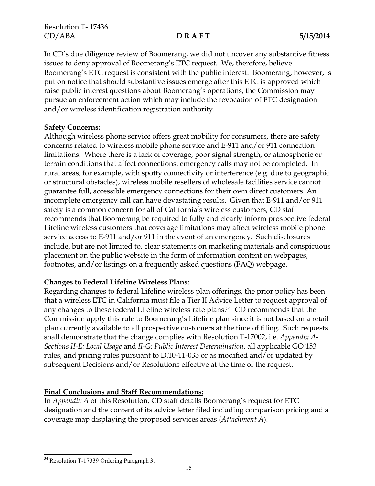In CD's due diligence review of Boomerang, we did not uncover any substantive fitness issues to deny approval of Boomerang's ETC request. We, therefore, believe Boomerang's ETC request is consistent with the public interest. Boomerang, however, is put on notice that should substantive issues emerge after this ETC is approved which raise public interest questions about Boomerang's operations, the Commission may pursue an enforcement action which may include the revocation of ETC designation and/or wireless identification registration authority.

### **Safety Concerns:**

Although wireless phone service offers great mobility for consumers, there are safety concerns related to wireless mobile phone service and E-911 and/or 911 connection limitations. Where there is a lack of coverage, poor signal strength, or atmospheric or terrain conditions that affect connections, emergency calls may not be completed. In rural areas, for example, with spotty connectivity or interference (e.g. due to geographic or structural obstacles), wireless mobile resellers of wholesale facilities service cannot guarantee full, accessible emergency connections for their own direct customers. An incomplete emergency call can have devastating results. Given that E-911 and/or 911 safety is a common concern for all of California's wireless customers, CD staff recommends that Boomerang be required to fully and clearly inform prospective federal Lifeline wireless customers that coverage limitations may affect wireless mobile phone service access to E-911 and/or 911 in the event of an emergency. Such disclosures include, but are not limited to, clear statements on marketing materials and conspicuous placement on the public website in the form of information content on webpages, footnotes, and/or listings on a frequently asked questions (FAQ) webpage.

### **Changes to Federal Lifeline Wireless Plans:**

Regarding changes to federal Lifeline wireless plan offerings, the prior policy has been that a wireless ETC in California must file a Tier II Advice Letter to request approval of any changes to these federal Lifeline wireless rate plans.34 CD recommends that the Commission apply this rule to Boomerang's Lifeline plan since it is not based on a retail plan currently available to all prospective customers at the time of filing. Such requests shall demonstrate that the change complies with Resolution T-17002, i.e. *Appendix A-Sections II-E: Local Usage* and *II-G: Public Interest Determination*, all applicable GO 153 rules, and pricing rules pursuant to D.10-11-033 or as modified and/or updated by subsequent Decisions and/or Resolutions effective at the time of the request.

### **Final Conclusions and Staff Recommendations:**

In *Appendix A* of this Resolution, CD staff details Boomerang's request for ETC designation and the content of its advice letter filed including comparison pricing and a coverage map displaying the proposed services areas (*Attachment A*)*.*

 $\overline{\phantom{a}}$ <sup>34</sup> Resolution T-17339 Ordering Paragraph 3.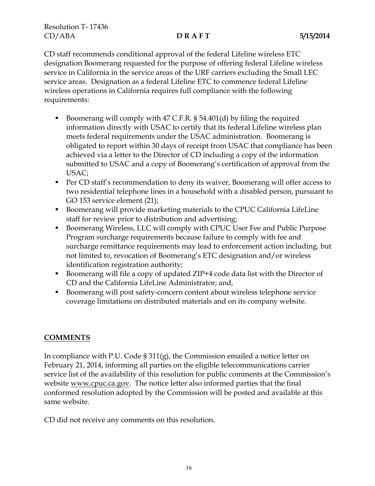CD staff recommends conditional approval of the federal Lifeline wireless ETC designation Boomerang requested for the purpose of offering federal Lifeline wireless service in California in the service areas of the URF carriers excluding the Small LEC service areas. Designation as a federal Lifeline ETC to commence federal Lifeline wireless operations in California requires full compliance with the following requirements:

- Boomerang will comply with 47 C.F.R.  $\S$  54.401(d) by filing the required information directly with USAC to certify that its federal Lifeline wireless plan meets federal requirements under the USAC administration. Boomerang is obligated to report within 30 days of receipt from USAC that compliance has been achieved via a letter to the Director of CD including a copy of the information submitted to USAC and a copy of Boomerang's certification of approval from the USAC;
- **Per CD staff's recommendation to deny its waiver, Boomerang will offer access to** two residential telephone lines in a household with a disabled person, pursuant to GO 153 service element (21);
- Boomerang will provide marketing materials to the CPUC California LifeLine staff for review prior to distribution and advertising;
- Boomerang Wireless, LLC will comply with CPUC User Fee and Public Purpose Program surcharge requirements because failure to comply with fee and surcharge remittance requirements may lead to enforcement action including, but not limited to, revocation of Boomerang's ETC designation and/or wireless identification registration authority;
- Boomerang will file a copy of updated ZIP+4 code data list with the Director of CD and the California LifeLine Administrator; and,
- Boomerang will post safety-concern content about wireless telephone service coverage limitations on distributed materials and on its company website.

# **COMMENTS**

In compliance with P.U. Code § 311(g), the Commission emailed a notice letter on February 21, 2014, informing all parties on the eligible telecommunications carrier service list of the availability of this resolution for public comments at the Commission's website www.cpuc.ca.gov. The notice letter also informed parties that the final conformed resolution adopted by the Commission will be posted and available at this same website.

CD did not receive any comments on this resolution.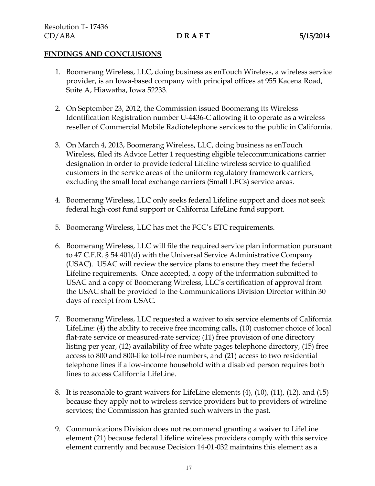### **FINDINGS AND CONCLUSIONS**

- 1. Boomerang Wireless, LLC, doing business as enTouch Wireless, a wireless service provider, is an Iowa-based company with principal offices at 955 Kacena Road, Suite A, Hiawatha, Iowa 52233.
- 2. On September 23, 2012, the Commission issued Boomerang its Wireless Identification Registration number U-4436-C allowing it to operate as a wireless reseller of Commercial Mobile Radiotelephone services to the public in California.
- 3. On March 4, 2013, Boomerang Wireless, LLC, doing business as enTouch Wireless, filed its Advice Letter 1 requesting eligible telecommunications carrier designation in order to provide federal Lifeline wireless service to qualified customers in the service areas of the uniform regulatory framework carriers, excluding the small local exchange carriers (Small LECs) service areas.
- 4. Boomerang Wireless, LLC only seeks federal Lifeline support and does not seek federal high-cost fund support or California LifeLine fund support.
- 5. Boomerang Wireless, LLC has met the FCC's ETC requirements.
- 6. Boomerang Wireless, LLC will file the required service plan information pursuant to 47 C.F.R. § 54.401(d) with the Universal Service Administrative Company (USAC). USAC will review the service plans to ensure they meet the federal Lifeline requirements. Once accepted, a copy of the information submitted to USAC and a copy of Boomerang Wireless, LLC's certification of approval from the USAC shall be provided to the Communications Division Director within 30 days of receipt from USAC.
- 7. Boomerang Wireless, LLC requested a waiver to six service elements of California LifeLine: (4) the ability to receive free incoming calls, (10) customer choice of local flat-rate service or measured-rate service; (11) free provision of one directory listing per year, (12) availability of free white pages telephone directory, (15) free access to 800 and 800-like toll-free numbers, and (21) access to two residential telephone lines if a low-income household with a disabled person requires both lines to access California LifeLine.
- 8. It is reasonable to grant waivers for LifeLine elements (4), (10), (11), (12), and (15) because they apply not to wireless service providers but to providers of wireline services; the Commission has granted such waivers in the past.
- 9. Communications Division does not recommend granting a waiver to LifeLine element (21) because federal Lifeline wireless providers comply with this service element currently and because Decision 14-01-032 maintains this element as a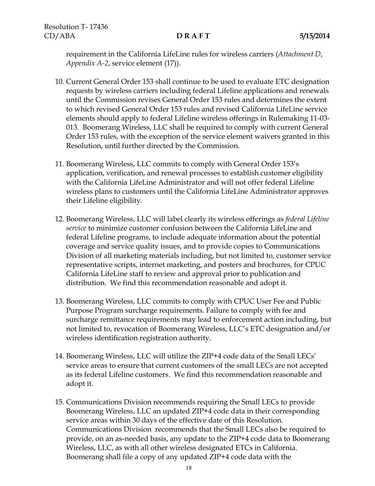requirement in the California LifeLine rules for wireless carriers (*Attachment D*, *Appendix A-2*, service element (17)).

- 10. Current General Order 153 shall continue to be used to evaluate ETC designation requests by wireless carriers including federal Lifeline applications and renewals until the Commission revises General Order 153 rules and determines the extent to which revised General Order 153 rules and revised California LifeLine service elements should apply to federal Lifeline wireless offerings in Rulemaking 11-03- 013. Boomerang Wireless, LLC shall be required to comply with current General Order 153 rules, with the exception of the service element waivers granted in this Resolution, until further directed by the Commission.
- 11. Boomerang Wireless, LLC commits to comply with General Order 153's application, verification, and renewal processes to establish customer eligibility with the California LifeLine Administrator and will not offer federal Lifeline wireless plans to customers until the California LifeLine Administrator approves their Lifeline eligibility.
- 12. Boomerang Wireless, LLC will label clearly its wireless offerings as *federal Lifeline service* to minimize customer confusion between the California LifeLine and federal Lifeline programs, to include adequate information about the potential coverage and service quality issues, and to provide copies to Communications Division of all marketing materials including, but not limited to, customer service representative scripts, internet marketing, and posters and brochures, for CPUC California LifeLine staff to review and approval prior to publication and distribution. We find this recommendation reasonable and adopt it.
- 13. Boomerang Wireless, LLC commits to comply with CPUC User Fee and Public Purpose Program surcharge requirements. Failure to comply with fee and surcharge remittance requirements may lead to enforcement action including, but not limited to, revocation of Boomerang Wireless, LLC's ETC designation and/or wireless identification registration authority.
- 14. Boomerang Wireless, LLC will utilize the ZIP+4 code data of the Small LECs' service areas to ensure that current customers of the small LECs are not accepted as its federal Lifeline customers. We find this recommendation reasonable and adopt it.
- 15. Communications Division recommends requiring the Small LECs to provide Boomerang Wireless, LLC an updated ZIP+4 code data in their corresponding service areas within 30 days of the effective date of this Resolution. Communications Division recommends that the Small LECs also be required to provide, on an as-needed basis, any update to the ZIP+4 code data to Boomerang Wireless, LLC, as with all other wireless designated ETCs in California. Boomerang shall file a copy of any updated ZIP+4 code data with the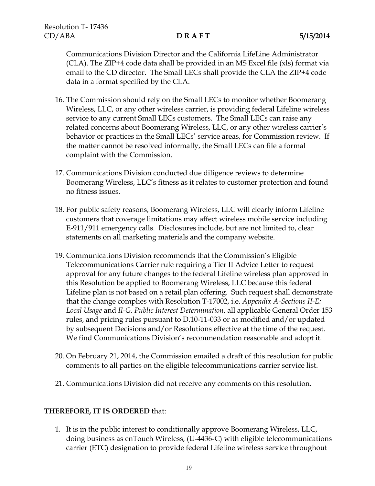Communications Division Director and the California LifeLine Administrator (CLA). The ZIP+4 code data shall be provided in an MS Excel file (xls) format via email to the CD director. The Small LECs shall provide the CLA the ZIP+4 code data in a format specified by the CLA.

- 16. The Commission should rely on the Small LECs to monitor whether Boomerang Wireless, LLC, or any other wireless carrier, is providing federal Lifeline wireless service to any current Small LECs customers. The Small LECs can raise any related concerns about Boomerang Wireless, LLC, or any other wireless carrier's behavior or practices in the Small LECs' service areas, for Commission review. If the matter cannot be resolved informally, the Small LECs can file a formal complaint with the Commission.
- 17. Communications Division conducted due diligence reviews to determine Boomerang Wireless, LLC's fitness as it relates to customer protection and found no fitness issues.
- 18. For public safety reasons, Boomerang Wireless, LLC will clearly inform Lifeline customers that coverage limitations may affect wireless mobile service including E-911/911 emergency calls. Disclosures include, but are not limited to, clear statements on all marketing materials and the company website.
- 19. Communications Division recommends that the Commission's Eligible Telecommunications Carrier rule requiring a Tier II Advice Letter to request approval for any future changes to the federal Lifeline wireless plan approved in this Resolution be applied to Boomerang Wireless, LLC because this federal Lifeline plan is not based on a retail plan offering. Such request shall demonstrate that the change complies with Resolution T-17002, i.e. *Appendix A-Sections II-E: Local Usage* and *II-G. Public Interest Determination*, all applicable General Order 153 rules, and pricing rules pursuant to D.10-11-033 or as modified and/or updated by subsequent Decisions and/or Resolutions effective at the time of the request. We find Communications Division's recommendation reasonable and adopt it.
- 20. On February 21, 2014, the Commission emailed a draft of this resolution for public comments to all parties on the eligible telecommunications carrier service list.
- 21. Communications Division did not receive any comments on this resolution.

## **THEREFORE, IT IS ORDERED** that:

1. It is in the public interest to conditionally approve Boomerang Wireless, LLC, doing business as enTouch Wireless, (U-4436-C) with eligible telecommunications carrier (ETC) designation to provide federal Lifeline wireless service throughout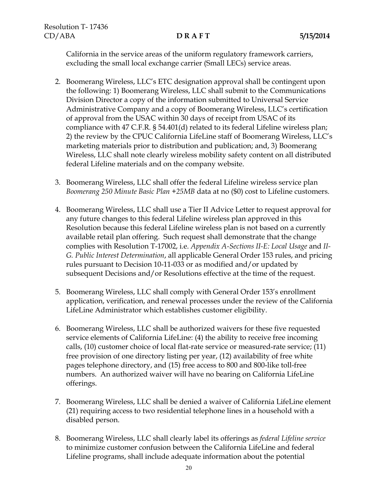California in the service areas of the uniform regulatory framework carriers, excluding the small local exchange carrier (Small LECs) service areas.

- 2. Boomerang Wireless, LLC's ETC designation approval shall be contingent upon the following: 1) Boomerang Wireless, LLC shall submit to the Communications Division Director a copy of the information submitted to Universal Service Administrative Company and a copy of Boomerang Wireless, LLC's certification of approval from the USAC within 30 days of receipt from USAC of its compliance with 47 C.F.R. § 54.401(d) related to its federal Lifeline wireless plan; 2) the review by the CPUC California LifeLine staff of Boomerang Wireless, LLC's marketing materials prior to distribution and publication; and, 3) Boomerang Wireless, LLC shall note clearly wireless mobility safety content on all distributed federal Lifeline materials and on the company website.
- 3. Boomerang Wireless, LLC shall offer the federal Lifeline wireless service plan *Boomerang 250 Minute Basic Plan +25MB* data at no (\$0) cost to Lifeline customers.
- 4. Boomerang Wireless, LLC shall use a Tier II Advice Letter to request approval for any future changes to this federal Lifeline wireless plan approved in this Resolution because this federal Lifeline wireless plan is not based on a currently available retail plan offering. Such request shall demonstrate that the change complies with Resolution T-17002, i.e. *Appendix A-Sections II-E: Local Usage* and *II-G. Public Interest Determination*, all applicable General Order 153 rules, and pricing rules pursuant to Decision 10-11-033 or as modified and/or updated by subsequent Decisions and/or Resolutions effective at the time of the request.
- 5. Boomerang Wireless, LLC shall comply with General Order 153's enrollment application, verification, and renewal processes under the review of the California LifeLine Administrator which establishes customer eligibility.
- 6. Boomerang Wireless, LLC shall be authorized waivers for these five requested service elements of California LifeLine: (4) the ability to receive free incoming calls, (10) customer choice of local flat-rate service or measured-rate service; (11) free provision of one directory listing per year, (12) availability of free white pages telephone directory, and (15) free access to 800 and 800-like toll-free numbers. An authorized waiver will have no bearing on California LifeLine offerings.
- 7. Boomerang Wireless, LLC shall be denied a waiver of California LifeLine element (21) requiring access to two residential telephone lines in a household with a disabled person.
- 8. Boomerang Wireless, LLC shall clearly label its offerings as *federal Lifeline service* to minimize customer confusion between the California LifeLine and federal Lifeline programs, shall include adequate information about the potential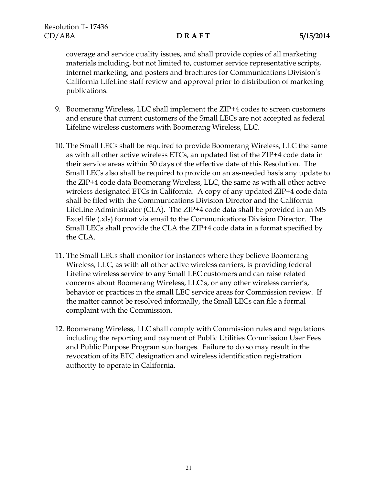coverage and service quality issues, and shall provide copies of all marketing materials including, but not limited to, customer service representative scripts, internet marketing, and posters and brochures for Communications Division's California LifeLine staff review and approval prior to distribution of marketing publications.

- 9. Boomerang Wireless, LLC shall implement the ZIP+4 codes to screen customers and ensure that current customers of the Small LECs are not accepted as federal Lifeline wireless customers with Boomerang Wireless, LLC.
- 10. The Small LECs shall be required to provide Boomerang Wireless, LLC the same as with all other active wireless ETCs, an updated list of the ZIP+4 code data in their service areas within 30 days of the effective date of this Resolution. The Small LECs also shall be required to provide on an as-needed basis any update to the ZIP+4 code data Boomerang Wireless, LLC, the same as with all other active wireless designated ETCs in California. A copy of any updated ZIP+4 code data shall be filed with the Communications Division Director and the California LifeLine Administrator (CLA). The ZIP+4 code data shall be provided in an MS Excel file (.xls) format via email to the Communications Division Director. The Small LECs shall provide the CLA the ZIP+4 code data in a format specified by the CLA.
- 11. The Small LECs shall monitor for instances where they believe Boomerang Wireless, LLC, as with all other active wireless carriers, is providing federal Lifeline wireless service to any Small LEC customers and can raise related concerns about Boomerang Wireless, LLC's, or any other wireless carrier's, behavior or practices in the small LEC service areas for Commission review. If the matter cannot be resolved informally, the Small LECs can file a formal complaint with the Commission.
- 12. Boomerang Wireless, LLC shall comply with Commission rules and regulations including the reporting and payment of Public Utilities Commission User Fees and Public Purpose Program surcharges. Failure to do so may result in the revocation of its ETC designation and wireless identification registration authority to operate in California.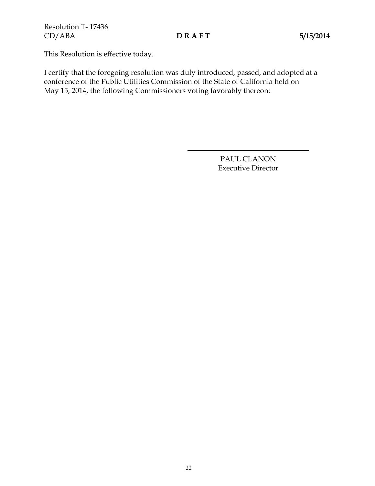This Resolution is effective today.

I certify that the foregoing resolution was duly introduced, passed, and adopted at a conference of the Public Utilities Commission of the State of California held on May 15, 2014, the following Commissioners voting favorably thereon:

> PAUL CLANON Executive Director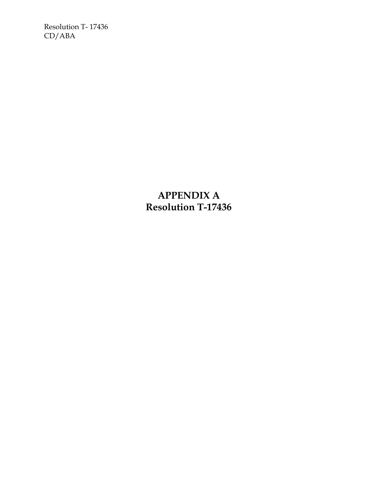Resolution T- 17436 CD/ABA

> **APPENDIX A Resolution T-17436**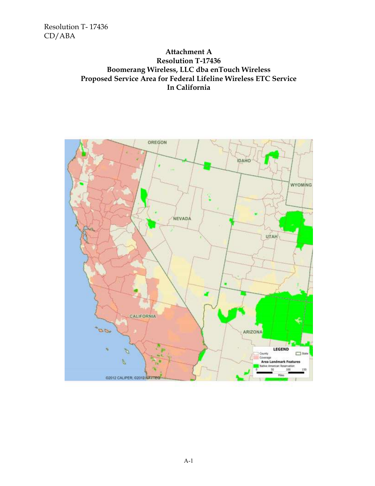Resolution T- 17436 CD/ABA

## **Attachment A Resolution T-17436 Boomerang Wireless, LLC dba enTouch Wireless Proposed Service Area for Federal Lifeline Wireless ETC Service In California**